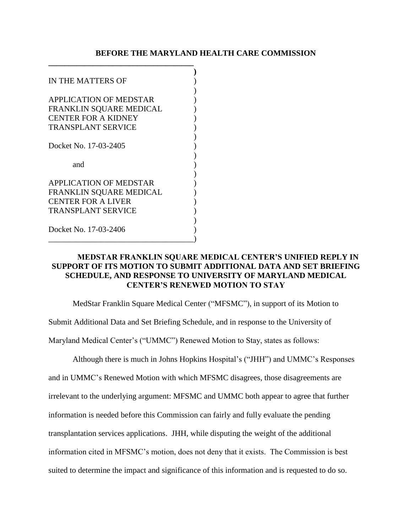## **BEFORE THE MARYLAND HEALTH CARE COMMISSION**

| IN THE MATTERS OF             |  |
|-------------------------------|--|
|                               |  |
| <b>APPLICATION OF MEDSTAR</b> |  |
| FRANKLIN SQUARE MEDICAL       |  |
| <b>CENTER FOR A KIDNEY</b>    |  |
| <b>TRANSPLANT SERVICE</b>     |  |
|                               |  |
| Docket No. 17-03-2405         |  |
|                               |  |
| and                           |  |
|                               |  |
| <b>APPLICATION OF MEDSTAR</b> |  |
| FRANKLIN SQUARE MEDICAL       |  |
| <b>CENTER FOR A LIVER</b>     |  |
| <b>TRANSPLANT SERVICE</b>     |  |
|                               |  |
| Docket No. 17-03-2406         |  |
|                               |  |

**\_\_\_\_\_\_\_\_\_\_\_\_\_\_\_\_\_\_\_\_\_\_\_\_\_\_\_\_\_\_\_\_\_\_\_\_**

## **MEDSTAR FRANKLIN SQUARE MEDICAL CENTER'S UNIFIED REPLY IN SUPPORT OF ITS MOTION TO SUBMIT ADDITIONAL DATA AND SET BRIEFING SCHEDULE, AND RESPONSE TO UNIVERSITY OF MARYLAND MEDICAL CENTER'S RENEWED MOTION TO STAY**

MedStar Franklin Square Medical Center ("MFSMC"), in support of its Motion to

Submit Additional Data and Set Briefing Schedule, and in response to the University of

Maryland Medical Center's ("UMMC") Renewed Motion to Stay, states as follows:

Although there is much in Johns Hopkins Hospital's ("JHH") and UMMC's Responses and in UMMC's Renewed Motion with which MFSMC disagrees, those disagreements are irrelevant to the underlying argument: MFSMC and UMMC both appear to agree that further information is needed before this Commission can fairly and fully evaluate the pending transplantation services applications. JHH, while disputing the weight of the additional information cited in MFSMC's motion, does not deny that it exists. The Commission is best suited to determine the impact and significance of this information and is requested to do so.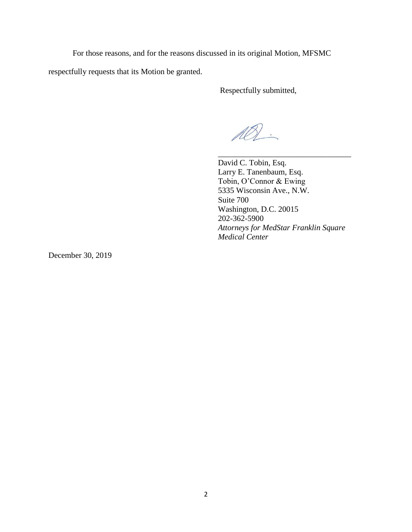For those reasons, and for the reasons discussed in its original Motion, MFSMC

respectfully requests that its Motion be granted.

Respectfully submitted,

AQ.

David C. Tobin, Esq. Larry E. Tanenbaum, Esq. Tobin, O'Connor & Ewing 5335 Wisconsin Ave., N.W. Suite 700 Washington, D.C. 20015 202-362-5900 *Attorneys for MedStar Franklin Square Medical Center*

\_\_\_\_\_\_\_\_\_\_\_\_\_\_\_\_\_\_\_\_\_\_\_\_\_\_\_\_\_\_\_\_\_

December 30, 2019